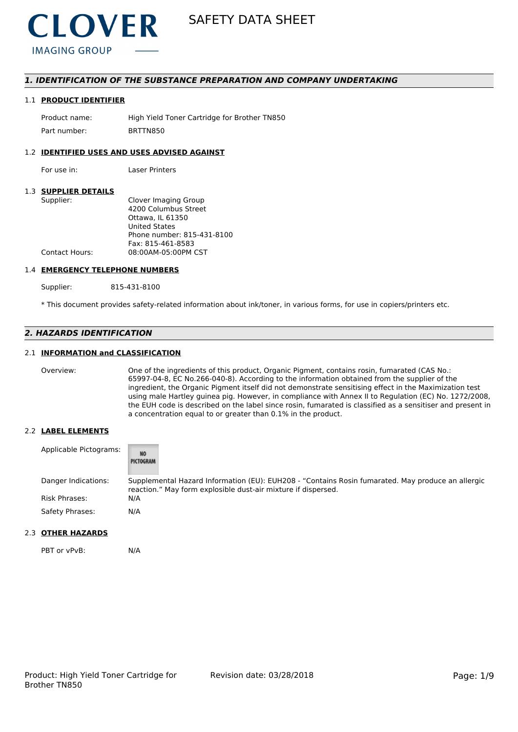

### *1. IDENTIFICATION OF THE SUBSTANCE PREPARATION AND COMPANY UNDERTAKING*

#### 1.1 **PRODUCT IDENTIFIER**

Product name: High Yield Toner Cartridge for Brother TN850 Part number: BRTTN850

#### 1.2 **IDENTIFIED USES AND USES ADVISED AGAINST**

For use in: Laser Printers

#### 1.3 **SUPPLIER DETAILS**

| Supplier:             | Clover Imaging Group       |
|-----------------------|----------------------------|
|                       | 4200 Columbus Street       |
|                       | Ottawa. IL 61350           |
|                       | <b>United States</b>       |
|                       | Phone number: 815-431-8100 |
|                       | Fax: 815-461-8583          |
| <b>Contact Hours:</b> | 08:00AM-05:00PM CST        |
|                       |                            |

#### 1.4 **EMERGENCY TELEPHONE NUMBERS**

Supplier: 815-431-8100

\* This document provides safety-related information about ink/toner, in various forms, for use in copiers/printers etc.

### *2. HAZARDS IDENTIFICATION*

#### 2.1 **INFORMATION and CLASSIFICATION**

Overview: One of the ingredients of this product, Organic Pigment, contains rosin, fumarated (CAS No.: 65997-04-8, EC No.266-040-8). According to the information obtained from the supplier of the ingredient, the Organic Pigment itself did not demonstrate sensitising effect in the Maximization test using male Hartley guinea pig. However, in compliance with Annex II to Regulation (EC) No. 1272/2008, the EUH code is described on the label since rosin, fumarated is classified as a sensitiser and present in a concentration equal to or greater than 0.1% in the product.

#### 2.2 **LABEL ELEMENTS**

| Applicable Pictograms: | <b>NO</b><br>PICTOGRAM                                                                                                                                             |
|------------------------|--------------------------------------------------------------------------------------------------------------------------------------------------------------------|
| Danger Indications:    | Supplemental Hazard Information (EU): EUH208 - "Contains Rosin fumarated. May produce an allergic<br>reaction." May form explosible dust-air mixture if dispersed. |
| Risk Phrases:          | N/A                                                                                                                                                                |
| Safety Phrases:        | N/A                                                                                                                                                                |

#### 2.3 **OTHER HAZARDS**

PBT or vPvB: N/A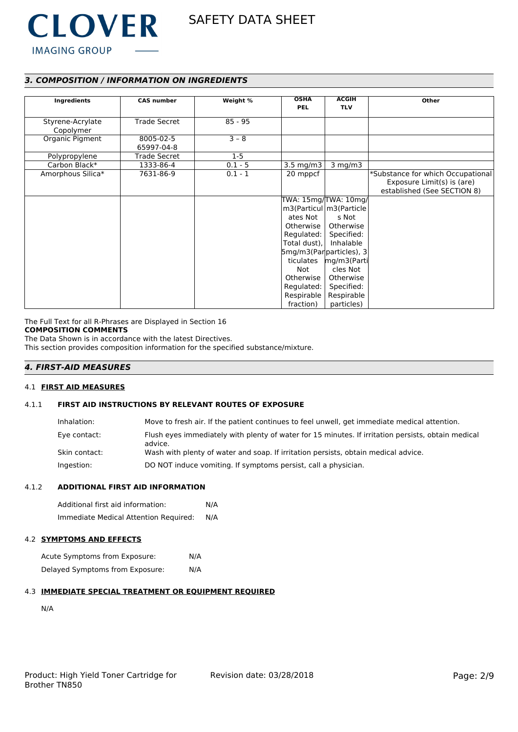

# *3. COMPOSITION / INFORMATION ON INGREDIENTS*

| Ingredients                   | <b>CAS number</b>       | Weight %  | <b>OSHA</b><br><b>PEL</b>                                                                                                           | <b>ACGIH</b><br><b>TLV</b>                                                                                                                                                                                          | Other                                                                                          |
|-------------------------------|-------------------------|-----------|-------------------------------------------------------------------------------------------------------------------------------------|---------------------------------------------------------------------------------------------------------------------------------------------------------------------------------------------------------------------|------------------------------------------------------------------------------------------------|
| Styrene-Acrylate<br>Copolymer | <b>Trade Secret</b>     | $85 - 95$ |                                                                                                                                     |                                                                                                                                                                                                                     |                                                                                                |
| Organic Pigment               | 8005-02-5<br>65997-04-8 | $3 - 8$   |                                                                                                                                     |                                                                                                                                                                                                                     |                                                                                                |
| Polypropylene                 | <b>Trade Secret</b>     | $1-5$     |                                                                                                                                     |                                                                                                                                                                                                                     |                                                                                                |
| Carbon Black*                 | 1333-86-4               | $0.1 - 5$ | $3.5 \text{ mg/m}$                                                                                                                  | $3$ mg/m $3$                                                                                                                                                                                                        |                                                                                                |
| Amorphous Silica*             | 7631-86-9               | $0.1 - 1$ | 20 mppcf                                                                                                                            |                                                                                                                                                                                                                     | *Substance for which Occupational<br>Exposure Limit(s) is (are)<br>established (See SECTION 8) |
|                               |                         |           | ates Not<br>Otherwise I<br>Regulated:  <br>Total dust),<br>ticulates<br>Not<br>Otherwise<br>Regulated:  <br>Respirable<br>fraction) | TWA: 15mg/TWA: 10mg/<br>m3(Particul   m3(Particle<br>s Not<br>Otherwise<br>Specified:<br>Inhalable<br>$5mg/m3(Par particles)$ , 3<br>mg/m3(Parti<br>cles Not<br>Otherwise<br>Specified:<br>Respirable<br>particles) |                                                                                                |

The Full Text for all R-Phrases are Displayed in Section 16

# **COMPOSITION COMMENTS**

The Data Shown is in accordance with the latest Directives.

This section provides composition information for the specified substance/mixture.

# *4. FIRST-AID MEASURES*

#### 4.1 **FIRST AID MEASURES**

### 4.1.1 **FIRST AID INSTRUCTIONS BY RELEVANT ROUTES OF EXPOSURE**

| Inhalation:   | Move to fresh air. If the patient continues to feel unwell, get immediate medical attention.                  |
|---------------|---------------------------------------------------------------------------------------------------------------|
| Eye contact:  | Flush eyes immediately with plenty of water for 15 minutes. If irritation persists, obtain medical<br>advice. |
| Skin contact: | Wash with plenty of water and soap. If irritation persists, obtain medical advice.                            |
| Ingestion:    | DO NOT induce vomiting. If symptoms persist, call a physician.                                                |

#### 4.1.2 **ADDITIONAL FIRST AID INFORMATION**

| Additional first aid information:     |     |
|---------------------------------------|-----|
| Immediate Medical Attention Required: | N/A |

#### 4.2 **SYMPTOMS AND EFFECTS**

Acute Symptoms from Exposure: N/A Delayed Symptoms from Exposure: N/A

#### 4.3 **IMMEDIATE SPECIAL TREATMENT OR EQUIPMENT REQUIRED**

N/A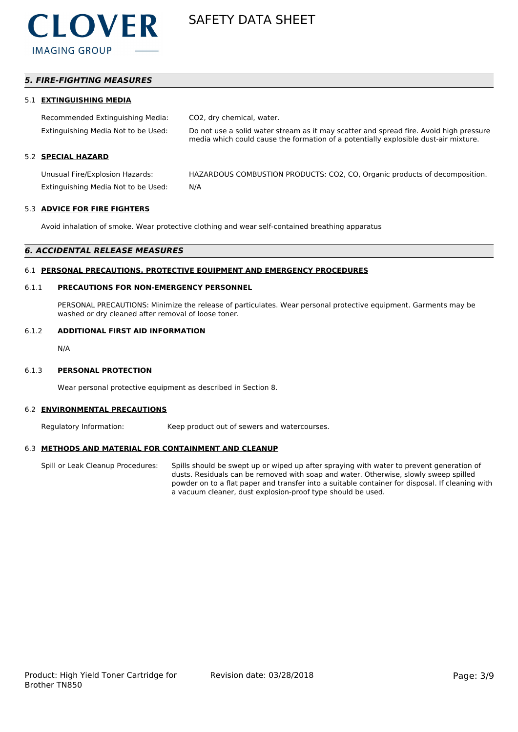

## *5. FIRE-FIGHTING MEASURES*

#### 5.1 **EXTINGUISHING MEDIA**

| Recommended Extinguishing Media:    | CO2, dry chemical, water.                                                                                                                                                     |
|-------------------------------------|-------------------------------------------------------------------------------------------------------------------------------------------------------------------------------|
| Extinguishing Media Not to be Used: | Do not use a solid water stream as it may scatter and spread fire. Avoid high pressure<br>media which could cause the formation of a potentially explosible dust-air mixture. |
| 5.2 SPECIAL HAZARD                  |                                                                                                                                                                               |
| Unusual Fire/Explosion Hazards:     | HAZARDOUS COMBUSTION PRODUCTS: CO2, CO, Organic products of decomposition.                                                                                                    |
| Extinguishing Media Not to be Used: | N/A                                                                                                                                                                           |

#### 5.3 **ADVICE FOR FIRE FIGHTERS**

Avoid inhalation of smoke. Wear protective clothing and wear self-contained breathing apparatus

#### *6. ACCIDENTAL RELEASE MEASURES*

#### 6.1 **PERSONAL PRECAUTIONS, PROTECTIVE EQUIPMENT AND EMERGENCY PROCEDURES**

#### 6.1.1 **PRECAUTIONS FOR NON-EMERGENCY PERSONNEL**

PERSONAL PRECAUTIONS: Minimize the release of particulates. Wear personal protective equipment. Garments may be washed or dry cleaned after removal of loose toner.

#### 6.1.2 **ADDITIONAL FIRST AID INFORMATION**

N/A

#### 6.1.3 **PERSONAL PROTECTION**

Wear personal protective equipment as described in Section 8.

#### 6.2 **ENVIRONMENTAL PRECAUTIONS**

Regulatory Information: Keep product out of sewers and watercourses.

#### 6.3 **METHODS AND MATERIAL FOR CONTAINMENT AND CLEANUP**

Spill or Leak Cleanup Procedures: Spills should be swept up or wiped up after spraying with water to prevent generation of dusts. Residuals can be removed with soap and water. Otherwise, slowly sweep spilled powder on to a flat paper and transfer into a suitable container for disposal. If cleaning with a vacuum cleaner, dust explosion-proof type should be used.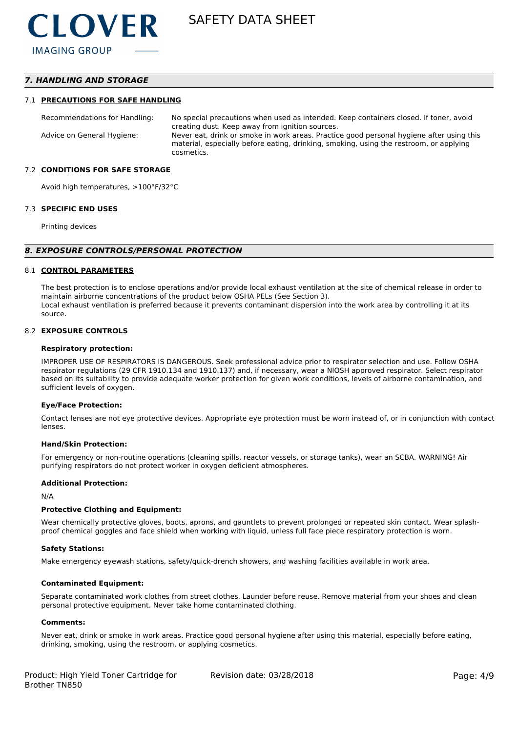### *7. HANDLING AND STORAGE*

#### 7.1 **PRECAUTIONS FOR SAFE HANDLING**

Recommendations for Handling: No special precautions when used as intended. Keep containers closed. If toner, avoid creating dust. Keep away from ignition sources. Advice on General Hygiene: Never eat, drink or smoke in work areas. Practice good personal hygiene after using this material, especially before eating, drinking, smoking, using the restroom, or applying cosmetics.

#### 7.2 **CONDITIONS FOR SAFE STORAGE**

Avoid high temperatures, >100°F/32°C

#### 7.3 **SPECIFIC END USES**

Printing devices

#### *8. EXPOSURE CONTROLS/PERSONAL PROTECTION*

#### 8.1 **CONTROL PARAMETERS**

The best protection is to enclose operations and/or provide local exhaust ventilation at the site of chemical release in order to maintain airborne concentrations of the product below OSHA PELs (See Section 3). Local exhaust ventilation is preferred because it prevents contaminant dispersion into the work area by controlling it at its source.

#### 8.2 **EXPOSURE CONTROLS**

#### **Respiratory protection:**

IMPROPER USE OF RESPIRATORS IS DANGEROUS. Seek professional advice prior to respirator selection and use. Follow OSHA respirator regulations (29 CFR 1910.134 and 1910.137) and, if necessary, wear a NIOSH approved respirator. Select respirator based on its suitability to provide adequate worker protection for given work conditions, levels of airborne contamination, and sufficient levels of oxygen.

#### **Eye/Face Protection:**

Contact lenses are not eye protective devices. Appropriate eye protection must be worn instead of, or in conjunction with contact lenses.

#### **Hand/Skin Protection:**

For emergency or non-routine operations (cleaning spills, reactor vessels, or storage tanks), wear an SCBA. WARNING! Air purifying respirators do not protect worker in oxygen deficient atmospheres.

#### **Additional Protection:**

N/A

#### **Protective Clothing and Equipment:**

Wear chemically protective gloves, boots, aprons, and gauntlets to prevent prolonged or repeated skin contact. Wear splashproof chemical goggles and face shield when working with liquid, unless full face piece respiratory protection is worn.

#### **Safety Stations:**

Make emergency eyewash stations, safety/quick-drench showers, and washing facilities available in work area.

#### **Contaminated Equipment:**

Separate contaminated work clothes from street clothes. Launder before reuse. Remove material from your shoes and clean personal protective equipment. Never take home contaminated clothing.

#### **Comments:**

Never eat, drink or smoke in work areas. Practice good personal hygiene after using this material, especially before eating, drinking, smoking, using the restroom, or applying cosmetics.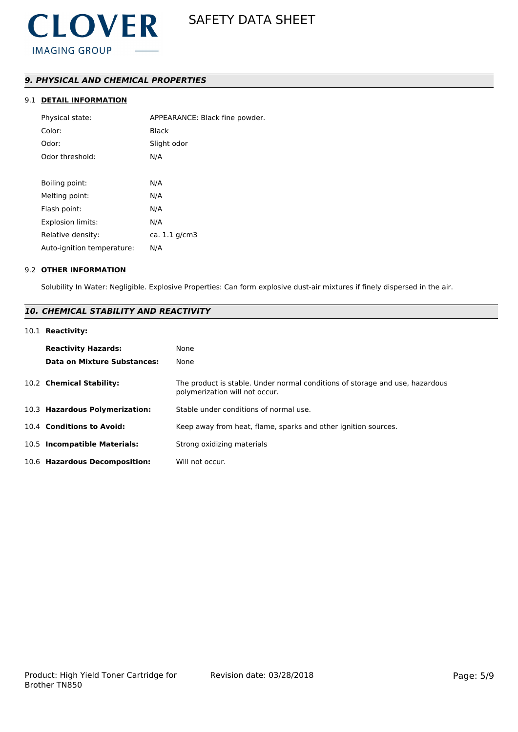# *9. PHYSICAL AND CHEMICAL PROPERTIES*

# 9.1 **DETAIL INFORMATION**

| Physical state:            | APPEARANCE: Black fine powder. |
|----------------------------|--------------------------------|
| Color:                     | <b>Black</b>                   |
| Odor:                      | Slight odor                    |
| Odor threshold:            | N/A                            |
|                            |                                |
| Boiling point:             | N/A                            |
| Melting point:             | N/A                            |
| Flash point:               | N/A                            |
| <b>Explosion limits:</b>   | N/A                            |
| Relative density:          | ca. $1.1$ g/cm $3$             |
| Auto-ignition temperature: | N/A                            |
|                            |                                |

#### 9.2 **OTHER INFORMATION**

Solubility In Water: Negligible. Explosive Properties: Can form explosive dust-air mixtures if finely dispersed in the air.

# *10. CHEMICAL STABILITY AND REACTIVITY*

### 10.1 **Reactivity:**

| <b>Reactivity Hazards:</b><br>Data on Mixture Substances: | None<br>None                                                                                                   |
|-----------------------------------------------------------|----------------------------------------------------------------------------------------------------------------|
| 10.2 Chemical Stability:                                  | The product is stable. Under normal conditions of storage and use, hazardous<br>polymerization will not occur. |
| 10.3 Hazardous Polymerization:                            | Stable under conditions of normal use.                                                                         |
| 10.4 Conditions to Avoid:                                 | Keep away from heat, flame, sparks and other ignition sources.                                                 |
| 10.5 Incompatible Materials:                              | Strong oxidizing materials                                                                                     |
| 10.6 Hazardous Decomposition:                             | Will not occur.                                                                                                |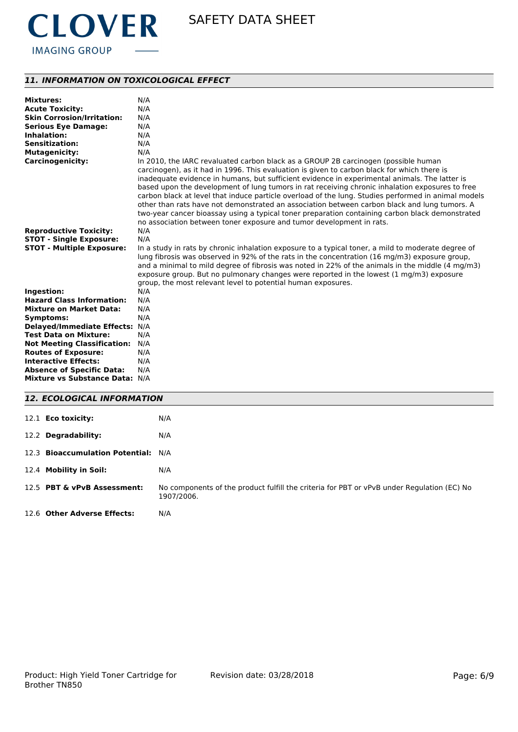

# *11. INFORMATION ON TOXICOLOGICAL EFFECT*

| <b>Mixtures:</b>                   | N/A                                                                                                                                                                                                                                                                                                                                                                                                                                                                                                                                                                                                                                                                                                                                                                     |
|------------------------------------|-------------------------------------------------------------------------------------------------------------------------------------------------------------------------------------------------------------------------------------------------------------------------------------------------------------------------------------------------------------------------------------------------------------------------------------------------------------------------------------------------------------------------------------------------------------------------------------------------------------------------------------------------------------------------------------------------------------------------------------------------------------------------|
| <b>Acute Toxicity:</b>             | N/A                                                                                                                                                                                                                                                                                                                                                                                                                                                                                                                                                                                                                                                                                                                                                                     |
| <b>Skin Corrosion/Irritation:</b>  | N/A                                                                                                                                                                                                                                                                                                                                                                                                                                                                                                                                                                                                                                                                                                                                                                     |
| <b>Serious Eye Damage:</b>         | N/A                                                                                                                                                                                                                                                                                                                                                                                                                                                                                                                                                                                                                                                                                                                                                                     |
| Inhalation:                        | N/A                                                                                                                                                                                                                                                                                                                                                                                                                                                                                                                                                                                                                                                                                                                                                                     |
| <b>Sensitization:</b>              | N/A                                                                                                                                                                                                                                                                                                                                                                                                                                                                                                                                                                                                                                                                                                                                                                     |
| <b>Mutagenicity:</b>               | N/A                                                                                                                                                                                                                                                                                                                                                                                                                                                                                                                                                                                                                                                                                                                                                                     |
| <b>Carcinogenicity:</b>            | In 2010, the IARC revaluated carbon black as a GROUP 2B carcinogen (possible human<br>carcinogen), as it had in 1996. This evaluation is given to carbon black for which there is<br>inadequate evidence in humans, but sufficient evidence in experimental animals. The latter is<br>based upon the development of lung tumors in rat receiving chronic inhalation exposures to free<br>carbon black at level that induce particle overload of the lung. Studies performed in animal models<br>other than rats have not demonstrated an association between carbon black and lung tumors. A<br>two-year cancer bioassay using a typical toner preparation containing carbon black demonstrated<br>no association between toner exposure and tumor development in rats. |
| <b>Reproductive Toxicity:</b>      | N/A                                                                                                                                                                                                                                                                                                                                                                                                                                                                                                                                                                                                                                                                                                                                                                     |
| <b>STOT - Single Exposure:</b>     | N/A                                                                                                                                                                                                                                                                                                                                                                                                                                                                                                                                                                                                                                                                                                                                                                     |
| <b>STOT - Multiple Exposure:</b>   | In a study in rats by chronic inhalation exposure to a typical toner, a mild to moderate degree of<br>lung fibrosis was observed in 92% of the rats in the concentration (16 mg/m3) exposure group,<br>and a minimal to mild degree of fibrosis was noted in 22% of the animals in the middle (4 mg/m3)<br>exposure group. But no pulmonary changes were reported in the lowest $(1 \text{ mg/m3})$ exposure<br>group, the most relevant level to potential human exposures.                                                                                                                                                                                                                                                                                            |
| Ingestion:                         | N/A                                                                                                                                                                                                                                                                                                                                                                                                                                                                                                                                                                                                                                                                                                                                                                     |
| <b>Hazard Class Information:</b>   | N/A                                                                                                                                                                                                                                                                                                                                                                                                                                                                                                                                                                                                                                                                                                                                                                     |
| <b>Mixture on Market Data:</b>     | N/A                                                                                                                                                                                                                                                                                                                                                                                                                                                                                                                                                                                                                                                                                                                                                                     |
| Symptoms:                          | N/A                                                                                                                                                                                                                                                                                                                                                                                                                                                                                                                                                                                                                                                                                                                                                                     |
| Delayed/Immediate Effects: N/A     |                                                                                                                                                                                                                                                                                                                                                                                                                                                                                                                                                                                                                                                                                                                                                                         |
| <b>Test Data on Mixture:</b>       | N/A                                                                                                                                                                                                                                                                                                                                                                                                                                                                                                                                                                                                                                                                                                                                                                     |
| <b>Not Meeting Classification:</b> | N/A                                                                                                                                                                                                                                                                                                                                                                                                                                                                                                                                                                                                                                                                                                                                                                     |
| <b>Routes of Exposure:</b>         | N/A                                                                                                                                                                                                                                                                                                                                                                                                                                                                                                                                                                                                                                                                                                                                                                     |
| <b>Interactive Effects:</b>        | N/A                                                                                                                                                                                                                                                                                                                                                                                                                                                                                                                                                                                                                                                                                                                                                                     |
| <b>Absence of Specific Data:</b>   | N/A                                                                                                                                                                                                                                                                                                                                                                                                                                                                                                                                                                                                                                                                                                                                                                     |
| Mixture vs Substance Data: N/A     |                                                                                                                                                                                                                                                                                                                                                                                                                                                                                                                                                                                                                                                                                                                                                                         |
|                                    |                                                                                                                                                                                                                                                                                                                                                                                                                                                                                                                                                                                                                                                                                                                                                                         |

# *12. ECOLOGICAL INFORMATION*

| 12.1 <b>Eco toxicity:</b>           | N/A                                                                                                      |
|-------------------------------------|----------------------------------------------------------------------------------------------------------|
| 12.2 Degradability:                 | N/A                                                                                                      |
| 12.3 Bioaccumulation Potential: N/A |                                                                                                          |
| 12.4 Mobility in Soil:              | N/A                                                                                                      |
| 12.5 PBT & vPvB Assessment:         | No components of the product fulfill the criteria for PBT or vPvB under Regulation (EC) No<br>1907/2006. |
| 12.6 Other Adverse Effects:         | N/A                                                                                                      |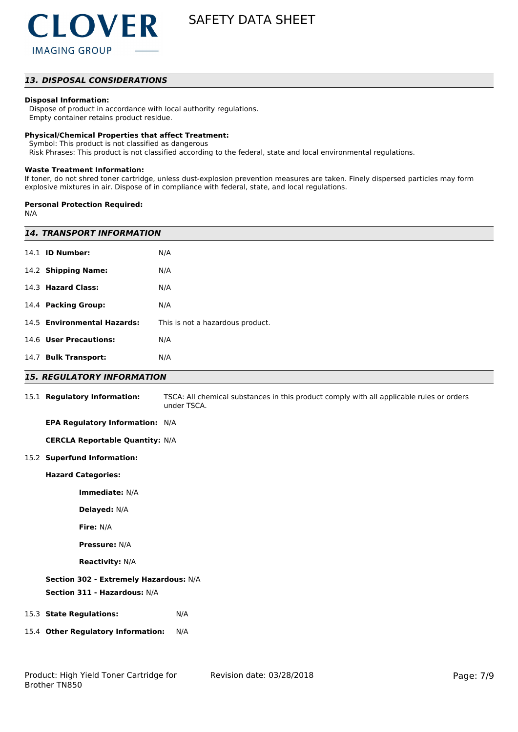### *13. DISPOSAL CONSIDERATIONS*

#### **Disposal Information:**

 Dispose of product in accordance with local authority regulations. Empty container retains product residue.

#### **Physical/Chemical Properties that affect Treatment:**

Symbol: This product is not classified as dangerous

Risk Phrases: This product is not classified according to the federal, state and local environmental regulations.

#### **Waste Treatment Information:**

If toner, do not shred toner cartridge, unless dust-explosion prevention measures are taken. Finely dispersed particles may form explosive mixtures in air. Dispose of in compliance with federal, state, and local regulations.

#### **Personal Protection Required:**

N/A

| <b>14. TRANSPORT INFORMATION</b>       |                                                                                                         |  |
|----------------------------------------|---------------------------------------------------------------------------------------------------------|--|
| 14.1 <b>ID Number:</b>                 | N/A                                                                                                     |  |
| 14.2 Shipping Name:                    | N/A                                                                                                     |  |
| 14.3 Hazard Class:                     | N/A                                                                                                     |  |
| 14.4 Packing Group:                    | N/A                                                                                                     |  |
| 14.5 Environmental Hazards:            | This is not a hazardous product.                                                                        |  |
| 14.6 User Precautions:                 | N/A                                                                                                     |  |
| 14.7 Bulk Transport:                   | N/A                                                                                                     |  |
| <b>15. REGULATORY INFORMATION</b>      |                                                                                                         |  |
| 15.1 Regulatory Information:           | TSCA: All chemical substances in this product comply with all applicable rules or orders<br>under TSCA. |  |
| EPA Regulatory Information: N/A        |                                                                                                         |  |
| <b>CERCLA Reportable Quantity: N/A</b> |                                                                                                         |  |
| 15.2 Superfund Information:            |                                                                                                         |  |
| <b>Hazard Categories:</b>              |                                                                                                         |  |
| Immediate: N/A                         |                                                                                                         |  |
| Delayed: N/A                           |                                                                                                         |  |
| Fire: N/A                              |                                                                                                         |  |
| <b>Pressure: N/A</b>                   |                                                                                                         |  |
| <b>Reactivity: N/A</b>                 |                                                                                                         |  |
| Section 302 - Extremely Hazardous: N/A |                                                                                                         |  |
| Section 311 - Hazardous: N/A           |                                                                                                         |  |
| 15.3 State Regulations:                | N/A                                                                                                     |  |
| 15.4 Other Regulatory Information:     | N/A                                                                                                     |  |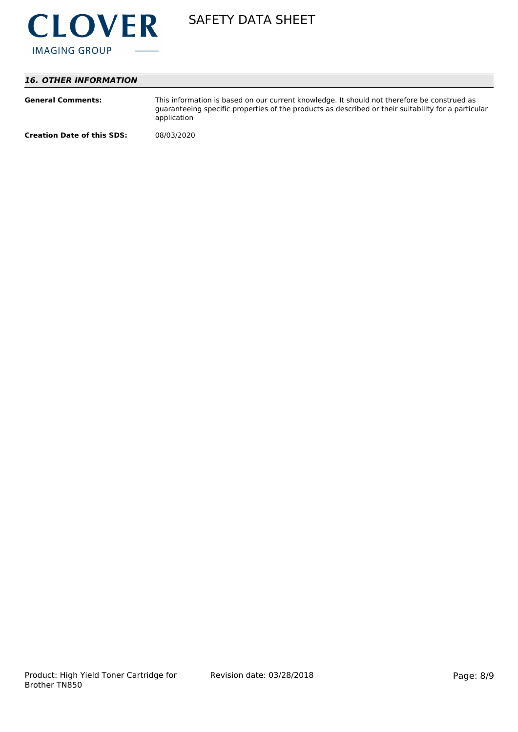

# *16. OTHER INFORMATION*

| <b>General Comments:</b>          | This information is based on our current knowledge. It should not therefore be construed as<br>guaranteeing specific properties of the products as described or their suitability for a particular<br>application |
|-----------------------------------|-------------------------------------------------------------------------------------------------------------------------------------------------------------------------------------------------------------------|
| <b>Creation Date of this SDS:</b> | 08/03/2020                                                                                                                                                                                                        |